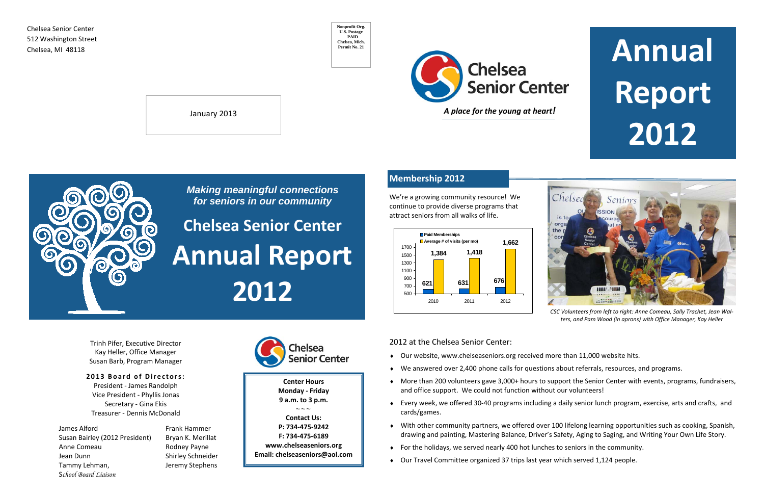Chelsea Senior Center 512 Washington Street

# **Report 2012**



Trinh Pifer, Executive Director Kay Heller, Office Manager Susan Barb, Program Manager

> Frank Hammer Rodney Payne Shirley Schneider



#### **2013 Board <sup>o</sup> f Directors:**

President ‐ James Randolph Vice President ‐ Phyllis Jonas Secretary ‐ Gina Ekis Treasurer ‐ Dennis McDonald

 $\sim$   $\sim$   $\sim$ **Contact Us: P: 734‐475‐9242F: 734‐475‐6189 www.chelseaseniors.org Email: chelseaseniors@aol.com**

James AlfordSusan Bairley (2012 President) Bryan K. Merillat Anne ComeauJean Dunn Tammy Lehman, Jeremy Stephens S*chool Board Liaison*

January 2013



**Nonprofit Org. U.S. Postage PAID Chelsea, Mich. Permit No. 21**

**Center Hours Monday ‐ Friday 9 a.m. to 3 p.m.**

*Making meaningful connections for seniors in our community* 

**Chelsea Senior Center Annual Report 2012**

## **Membership 2012**

2012 at the Chelsea Senior Center:

- ♦ Our website, www.chelseaseniors.org received more than 11,000 website hits.
- ♦ We answered over 2,400 phone calls for questions about referrals, resources, and programs.
- ♦ More than 200 volunteers gave 3,000+ hours to support the Senior Center with events, programs, fundraisers, and office support. We could not function without our volunteers!
- ♦ Every week, we offered 30‐40 programs including <sup>a</sup> daily senior lunch program, exercise, arts and crafts, and cards/games.
- ♦ With other community partners, we offered over 100 lifelong learning opportunities such as cooking, Spanish, drawing and painting, Mastering Balance, Driver's Safety, Aging to Saging, and Writing Your Own Life Story.
- $\bullet$  For the holidays, we served nearly 400 hot lunches to seniors in the community.
- ♦ Our Travel Committee organized 37 trips last year which served 1,124 people.



co

We're <sup>a</sup> growing community resource! We continue to provide diverse programs that attract seniors from all walks of life.



*CSC Volunteers from left to right: Anne Comeau, Sally Trachet, Jean Wal‐ ters, and Pam Wood (in aprons) with Office Manager, Kay Heller*